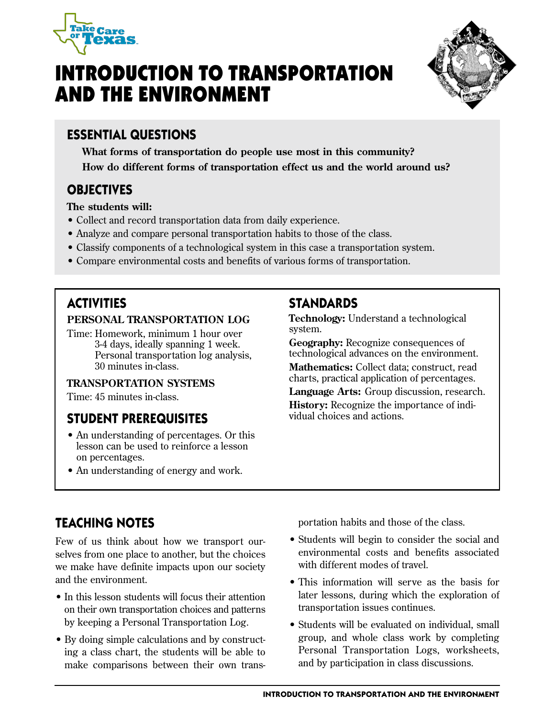

# INTRODUCTION TO TRANSPORTATION AND THE ENVIRONMENT



# **ESSENTIAL QUESTIONS**

**What forms of transportation do people use most in this community? How do different forms of transportation effect us and the world around us?** 

# **OBJECTIVES**

**The students will:** 

- Collect and record transportation data from daily experience.
- Analyze and compare personal transportation habits to those of the class.
- Classify components of a technological system in this case a transportation system.
- Compare environmental costs and benefits of various forms of transportation.

# **ACTIVITIES**

#### **PERSONAL TRANSPORTATION LOG**

Time: Homework, minimum 1 hour over 3-4 days, ideally spanning 1 week. Personal transportation log analysis, 30 minutes in-class.

### **TRANSPORTATION SYSTEMS**

Time: 45 minutes in-class.

## **STUDENT PREREQUISITES**

- An understanding of percentages. Or this lesson can be used to reinforce a lesson on percentages.
- An understanding of energy and work.

## **STANDARDS**

**Technology:** Understand a technological system.

**Geography:** Recognize consequences of technological advances on the environment. **Mathematics:** Collect data; construct, read charts, practical application of percentages.

**Language Arts:** Group discussion, research. **History:** Recognize the importance of individual choices and actions.

# **TEACHING NOTES**

Few of us think about how we transport ourselves from one place to another, but the choices we make have definite impacts upon our society and the environment.

- In this lesson students will focus their attention on their own transportation choices and patterns by keeping a Personal Transportation Log.
- By doing simple calculations and by constructing a class chart, the students will be able to make comparisons between their own trans-

portation habits and those of the class.

- Students will begin to consider the social and environmental costs and benefits associated with different modes of travel.
- This information will serve as the basis for later lessons, during which the exploration of transportation issues continues.
- Students will be evaluated on individual, small group, and whole class work by completing Personal Transportation Logs, worksheets, and by participation in class discussions.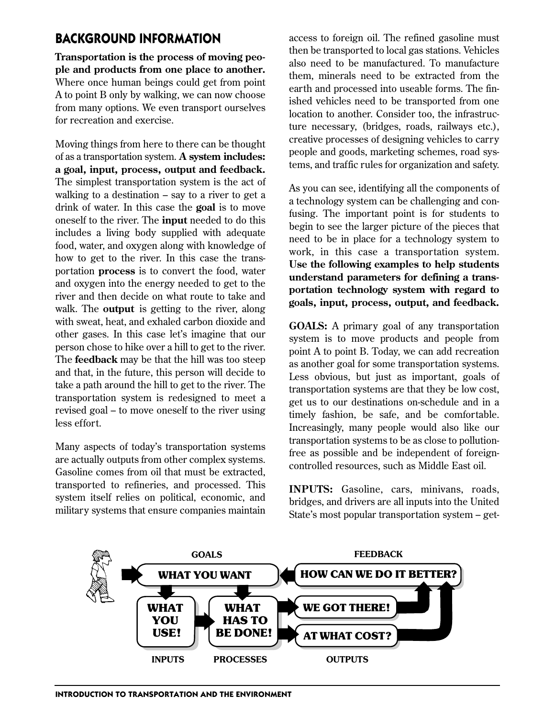### **BACKGROUND INFORMATION**

**Transportation is the process of moving people and products from one place to another.**  Where once human beings could get from point A to point B only by walking, we can now choose from many options. We even transport ourselves for recreation and exercise.

Moving things from here to there can be thought of as a transportation system. **A system includes: a goal, input, process, output and feedback.**  The simplest transportation system is the act of walking to a destination  $-$  say to a river to get a drink of water. In this case the **goal** is to move oneself to the river. The **input** needed to do this includes a living body supplied with adequate food, water, and oxygen along with knowledge of how to get to the river. In this case the transportation **process** is to convert the food, water and oxygen into the energy needed to get to the river and then decide on what route to take and walk. The **output** is getting to the river, along with sweat, heat, and exhaled carbon dioxide and other gases. In this case let's imagine that our person chose to hike over a hill to get to the river. The **feedback** may be that the hill was too steep and that, in the future, this person will decide to take a path around the hill to get to the river. The transportation system is redesigned to meet a revised goal – to move oneself to the river using less effort.

Many aspects of today's transportation systems are actually outputs from other complex systems. Gasoline comes from oil that must be extracted, transported to refineries, and processed. This system itself relies on political, economic, and military systems that ensure companies maintain access to foreign oil. The refined gasoline must then be transported to local gas stations. Vehicles also need to be manufactured. To manufacture them, minerals need to be extracted from the earth and processed into useable forms. The finished vehicles need to be transported from one location to another. Consider too, the infrastructure necessary, (bridges, roads, railways etc.), creative processes of designing vehicles to carry people and goods, marketing schemes, road systems, and traffic rules for organization and safety.

As you can see, identifying all the components of a technology system can be challenging and confusing. The important point is for students to begin to see the larger picture of the pieces that need to be in place for a technology system to work, in this case a transportation system. **Use the following examples to help students understand parameters for defining a transportation technology system with regard to goals, input, process, output, and feedback.** 

**GOALS:** A primary goal of any transportation system is to move products and people from point A to point B. Today, we can add recreation as another goal for some transportation systems. Less obvious, but just as important, goals of transportation systems are that they be low cost, get us to our destinations on-schedule and in a timely fashion, be safe, and be comfortable. Increasingly, many people would also like our transportation systems to be as close to pollutionfree as possible and be independent of foreigncontrolled resources, such as Middle East oil.

**INPUTS:** Gasoline, cars, minivans, roads, bridges, and drivers are all inputs into the United State's most popular transportation system – get-

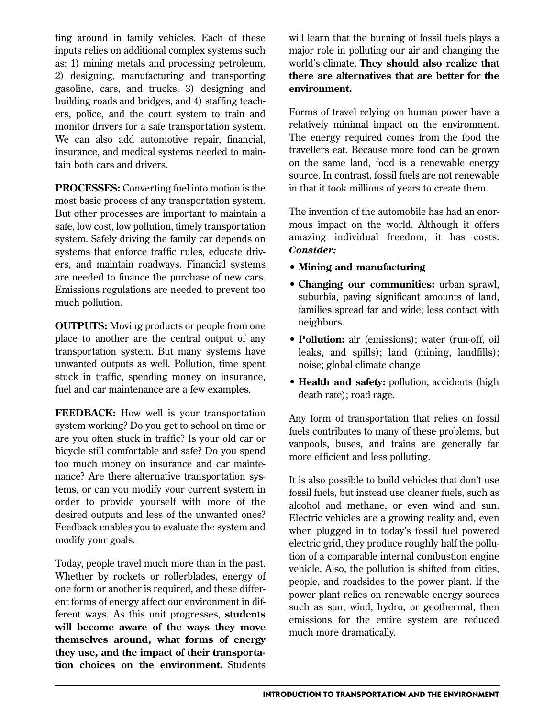ting around in family vehicles. Each of these inputs relies on additional complex systems such as: 1) mining metals and processing petroleum, 2) designing, manufacturing and transporting gasoline, cars, and trucks, 3) designing and building roads and bridges, and 4) staffing teachers, police, and the court system to train and monitor drivers for a safe transportation system. We can also add automotive repair, financial, insurance, and medical systems needed to maintain both cars and drivers.

**PROCESSES:** Converting fuel into motion is the most basic process of any transportation system. But other processes are important to maintain a safe, low cost, low pollution, timely transportation system. Safely driving the family car depends on systems that enforce traffic rules, educate drivers, and maintain roadways. Financial systems are needed to finance the purchase of new cars. Emissions regulations are needed to prevent too much pollution.

**OUTPUTS:** Moving products or people from one place to another are the central output of any transportation system. But many systems have unwanted outputs as well. Pollution, time spent stuck in traffic, spending money on insurance, fuel and car maintenance are a few examples.

**FEEDBACK:** How well is your transportation system working? Do you get to school on time or are you often stuck in traffic? Is your old car or bicycle still comfortable and safe? Do you spend too much money on insurance and car maintenance? Are there alternative transportation systems, or can you modify your current system in order to provide yourself with more of the desired outputs and less of the unwanted ones? Feedback enables you to evaluate the system and modify your goals.

Today, people travel much more than in the past. Whether by rockets or rollerblades, energy of one form or another is required, and these different forms of energy affect our environment in different ways. As this unit progresses, **students will become aware of the ways they move themselves around, what forms of energy they use, and the impact of their transportation choices on the environment.** Students

will learn that the burning of fossil fuels plays a major role in polluting our air and changing the world's climate. **They should also realize that there are alternatives that are better for the environment.** 

Forms of travel relying on human power have a relatively minimal impact on the environment. The energy required comes from the food the travellers eat. Because more food can be grown on the same land, food is a renewable energy source. In contrast, fossil fuels are not renewable in that it took millions of years to create them.

The invention of the automobile has had an enormous impact on the world. Although it offers amazing individual freedom, it has costs. *Consider:* 

- **Mining and manufacturing**
- **Changing our communities:** urban sprawl, suburbia, paving significant amounts of land, families spread far and wide; less contact with neighbors.
- **Pollution:** air (emissions); water (run-off, oil leaks, and spills); land (mining, landfills); noise; global climate change
- **Health and safety:** pollution; accidents (high death rate); road rage.

Any form of transportation that relies on fossil fuels contributes to many of these problems, but vanpools, buses, and trains are generally far more efficient and less polluting.

It is also possible to build vehicles that don't use fossil fuels, but instead use cleaner fuels, such as alcohol and methane, or even wind and sun. Electric vehicles are a growing reality and, even when plugged in to today's fossil fuel powered electric grid, they produce roughly half the pollution of a comparable internal combustion engine vehicle. Also, the pollution is shifted from cities, people, and roadsides to the power plant. If the power plant relies on renewable energy sources such as sun, wind, hydro, or geothermal, then emissions for the entire system are reduced much more dramatically.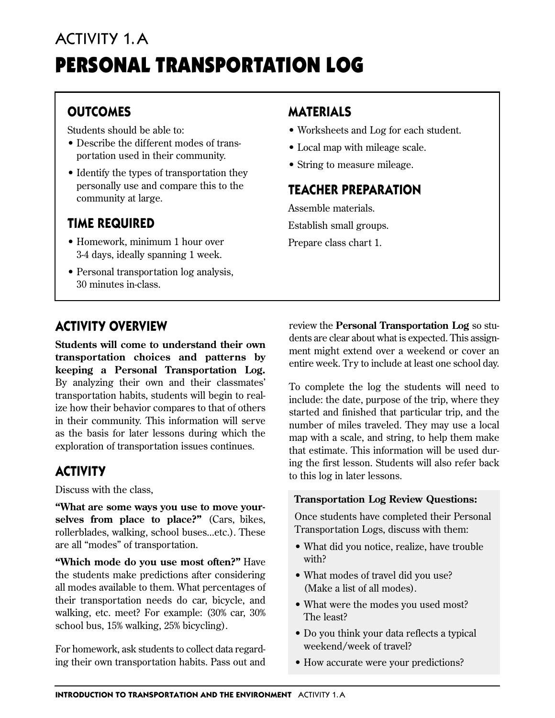# ACTIVITY 1.A PERSONAL TRANSPORTATION LOG

# **OUTCOMES**

Students should be able to:

- Describe the different modes of transportation used in their community.
- Identify the types of transportation they personally use and compare this to the community at large.

# **TIME REQUIRED**

- Homework, minimum 1 hour over 3-4 days, ideally spanning 1 week.
- Personal transportation log analysis, 30 minutes in-class.

# **MATERIALS**

- Worksheets and Log for each student.
- Local map with mileage scale.
- String to measure mileage.

# **TEACHER PREPARATION**

Assemble materials.

Establish small groups.

Prepare class chart 1.

# **ACTIVITY OVERVIEW**

**Students will come to understand their own transportation choices and patterns by keeping a Personal Transportation Log.**  By analyzing their own and their classmates' transportation habits, students will begin to realize how their behavior compares to that of others in their community. This information will serve as the basis for later lessons during which the exploration of transportation issues continues.

# **ACTIVITY**

Discuss with the class,

**"What are some ways you use to move yourselves from place to place?"** (Cars, bikes, rollerblades, walking, school buses...etc.). These are all "modes" of transportation.

**"Which mode do you use most often?"** Have the students make predictions after considering all modes available to them. What percentages of their transportation needs do car, bicycle, and walking, etc. meet? For example: (30% car, 30% school bus, 15% walking, 25% bicycling).

For homework, ask students to collect data regarding their own transportation habits. Pass out and review the **Personal Transportation Log** so students are clear about what is expected. This assignment might extend over a weekend or cover an entire week. Try to include at least one school day.

To complete the log the students will need to include: the date, purpose of the trip, where they started and finished that particular trip, and the number of miles traveled. They may use a local map with a scale, and string, to help them make that estimate. This information will be used during the first lesson. Students will also refer back to this log in later lessons.

### **Transportation Log Review Questions:**

Once students have completed their Personal Transportation Logs, discuss with them:

- What did you notice, realize, have trouble with?
- What modes of travel did you use? (Make a list of all modes).
- What were the modes you used most? The least?
- Do you think your data reflects a typical weekend/week of travel?
- How accurate were your predictions?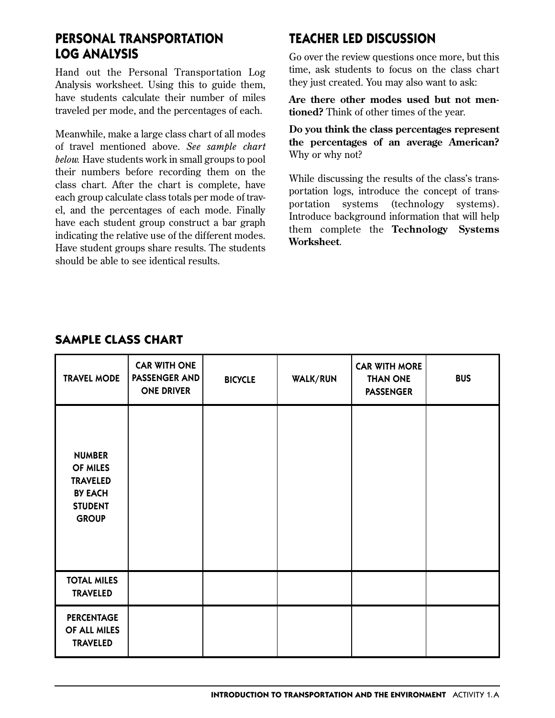### **PERSONAL TRANSPORTATION LOG ANALYSIS**

Hand out the Personal Transportation Log Analysis worksheet. Using this to guide them, have students calculate their number of miles traveled per mode, and the percentages of each.

Meanwhile, make a large class chart of all modes of travel mentioned above. *See sample chart below.* Have students work in small groups to pool their numbers before recording them on the class chart. After the chart is complete, have each group calculate class totals per mode of travel, and the percentages of each mode. Finally have each student group construct a bar graph indicating the relative use of the different modes. Have student groups share results. The students should be able to see identical results.

# **TEACHER LED DISCUSSION**

Go over the review questions once more, but this time, ask students to focus on the class chart they just created. You may also want to ask:

**Are there other modes used but not mentioned?** Think of other times of the year.

**Do you think the class percentages represent the percentages of an average American?**  Why or why not?

While discussing the results of the class's transportation logs, introduce the concept of transportation systems (technology systems). Introduce background information that will help them complete the **Technology Systems Worksheet**.

| <b>TRAVEL MODE</b>                                                                               | <b>CAR WITH ONE</b><br>PASSENGER AND<br><b>ONE DRIVER</b> | <b>BICYCLE</b> | WALK/RUN | <b>CAR WITH MORE</b><br><b>THAN ONE</b><br><b>PASSENGER</b> | <b>BUS</b> |
|--------------------------------------------------------------------------------------------------|-----------------------------------------------------------|----------------|----------|-------------------------------------------------------------|------------|
| <b>NUMBER</b><br>OF MILES<br><b>TRAVELED</b><br><b>BY EACH</b><br><b>STUDENT</b><br><b>GROUP</b> |                                                           |                |          |                                                             |            |
| <b>TOTAL MILES</b><br><b>TRAVELED</b>                                                            |                                                           |                |          |                                                             |            |
| <b>PERCENTAGE</b><br>OF ALL MILES<br><b>TRAVELED</b>                                             |                                                           |                |          |                                                             |            |

### **SAMPLE CLASS CHART**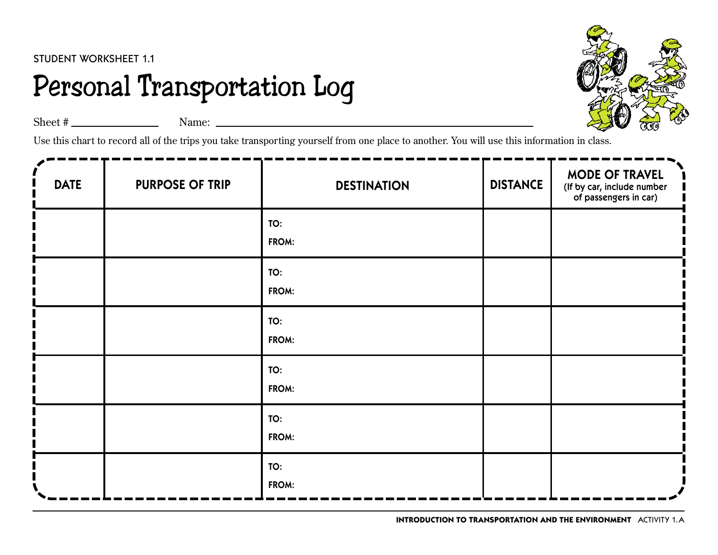# Personal Transportation Log



Sheet  $\#$  Name: Name:  $\frac{1}{2}$  Name:  $\frac{1}{2}$  Name:  $\frac{1}{2}$  Name:  $\frac{1}{2}$  Name:  $\frac{1}{2}$  Name:  $\frac{1}{2}$  Name:  $\frac{1}{2}$  Name:  $\frac{1}{2}$  Name:  $\frac{1}{2}$  Name:  $\frac{1}{2}$  Name:  $\frac{1}{2}$  Name:  $\frac{1}{2}$  Name:  $\frac{1}{$ 

Use this chart to record all of the trips you take transporting yourself from one place to another. You will use this information in class.

| <b>DATE</b> | <b>PURPOSE OF TRIP</b> | <b>DESTINATION</b> | <b>DISTANCE</b> | <b>MODE OF TRAVEL</b><br>(If by car, include number<br>of passengers in car) |
|-------------|------------------------|--------------------|-----------------|------------------------------------------------------------------------------|
|             |                        | TO:<br>FROM:       |                 |                                                                              |
|             |                        | TO:<br>FROM:       |                 |                                                                              |
|             |                        | TO:<br>FROM:       |                 |                                                                              |
|             |                        | TO:<br>FROM:       |                 |                                                                              |
|             |                        | TO:<br>FROM:       |                 |                                                                              |
|             |                        | TO:<br>FROM:       |                 |                                                                              |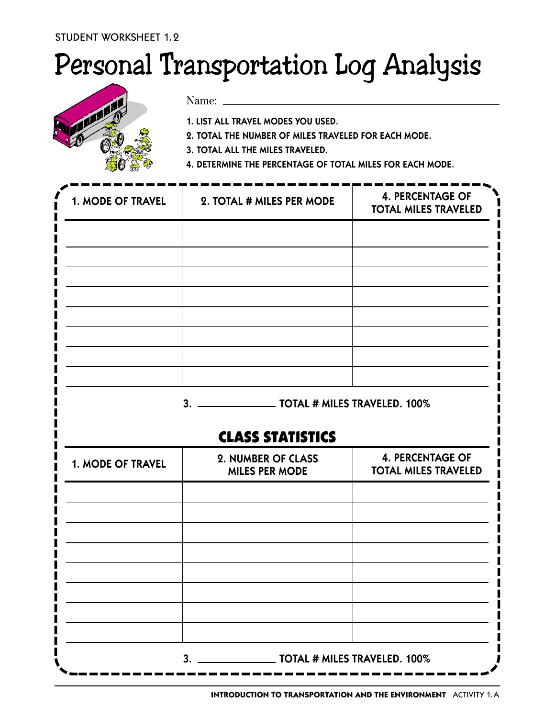# Personal Transportation Log Analysis



Name:

1. LIST ALL TRAVEL MODES YOU USED.

2. TOTAL THE NUMBER OF MILES TRAVELED FOR EACH MODE.

3. TOTAL ALL THE MILES TRAVELED.

4. DETERMINE THE PERCENTAGE OF TOTAL MILES FOR EACH MODE.

| 1. MODE OF TRAVEL | 2. TOTAL # MILES PER MODE | <b>4. PERCENTAGE OF</b><br><b>TOTAL MILES TRAVELED</b> |  |
|-------------------|---------------------------|--------------------------------------------------------|--|
|                   |                           |                                                        |  |
|                   |                           |                                                        |  |
|                   |                           |                                                        |  |
|                   |                           |                                                        |  |
|                   |                           |                                                        |  |
|                   |                           |                                                        |  |
|                   |                           |                                                        |  |
|                   | 3.                        | <b>TOTAL # MILES TRAVELED. 100%</b>                    |  |

# CLASS STATISTICS

| 1. MODE OF TRAVEL | 2. NUMBER OF CLASS<br><b>MILES PER MODE</b>       | <b>4. PERCENTAGE OF</b><br><b>TOTAL MILES TRAVELED</b> |  |
|-------------------|---------------------------------------------------|--------------------------------------------------------|--|
|                   |                                                   |                                                        |  |
|                   |                                                   |                                                        |  |
|                   |                                                   |                                                        |  |
|                   |                                                   |                                                        |  |
|                   |                                                   |                                                        |  |
|                   |                                                   |                                                        |  |
|                   |                                                   |                                                        |  |
|                   | $\_$ TOTAL # MILES TRAVELED. 100%<br>$\mathbf{3}$ |                                                        |  |